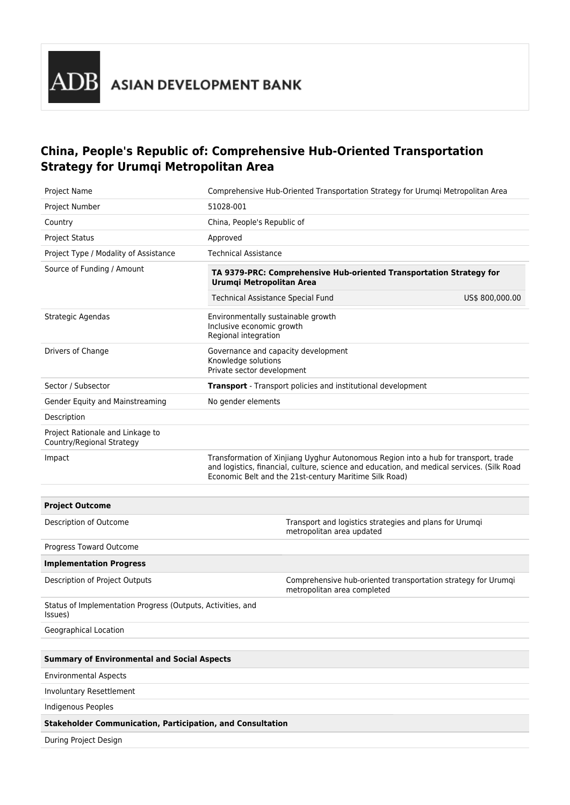## **China, People's Republic of: Comprehensive Hub-Oriented Transportation Strategy for Urumqi Metropolitan Area**

| Project Name                                                           | Comprehensive Hub-Oriented Transportation Strategy for Urumqi Metropolitan Area                                                                                                                                                             |  |  |  |
|------------------------------------------------------------------------|---------------------------------------------------------------------------------------------------------------------------------------------------------------------------------------------------------------------------------------------|--|--|--|
| Project Number                                                         | 51028-001                                                                                                                                                                                                                                   |  |  |  |
| Country                                                                | China, People's Republic of                                                                                                                                                                                                                 |  |  |  |
| <b>Project Status</b>                                                  | Approved                                                                                                                                                                                                                                    |  |  |  |
| Project Type / Modality of Assistance                                  | <b>Technical Assistance</b>                                                                                                                                                                                                                 |  |  |  |
| Source of Funding / Amount                                             | TA 9379-PRC: Comprehensive Hub-oriented Transportation Strategy for<br>Urumqi Metropolitan Area<br><b>Technical Assistance Special Fund</b><br>US\$ 800,000.00                                                                              |  |  |  |
| Strategic Agendas                                                      | Environmentally sustainable growth<br>Inclusive economic growth<br>Regional integration                                                                                                                                                     |  |  |  |
| Drivers of Change                                                      | Governance and capacity development<br>Knowledge solutions<br>Private sector development                                                                                                                                                    |  |  |  |
| Sector / Subsector                                                     | Transport - Transport policies and institutional development                                                                                                                                                                                |  |  |  |
| Gender Equity and Mainstreaming                                        | No gender elements                                                                                                                                                                                                                          |  |  |  |
| Description                                                            |                                                                                                                                                                                                                                             |  |  |  |
| Project Rationale and Linkage to<br>Country/Regional Strategy          |                                                                                                                                                                                                                                             |  |  |  |
| Impact                                                                 | Transformation of Xinjiang Uyghur Autonomous Region into a hub for transport, trade<br>and logistics, financial, culture, science and education, and medical services. (Silk Road<br>Economic Belt and the 21st-century Maritime Silk Road) |  |  |  |
| <b>Project Outcome</b>                                                 |                                                                                                                                                                                                                                             |  |  |  |
| Description of Outcome                                                 | Transport and logistics strategies and plans for Urumqi<br>metropolitan area updated                                                                                                                                                        |  |  |  |
| Progress Toward Outcome                                                |                                                                                                                                                                                                                                             |  |  |  |
| <b>Implementation Progress</b>                                         |                                                                                                                                                                                                                                             |  |  |  |
| Description of Project Outputs                                         | Comprehensive hub-oriented transportation strategy for Urumqi<br>metropolitan area completed                                                                                                                                                |  |  |  |
| Status of Implementation Progress (Outputs, Activities, and<br>Issues) |                                                                                                                                                                                                                                             |  |  |  |
| Geographical Location                                                  |                                                                                                                                                                                                                                             |  |  |  |
|                                                                        |                                                                                                                                                                                                                                             |  |  |  |
| <b>Summary of Environmental and Social Aspects</b>                     |                                                                                                                                                                                                                                             |  |  |  |
| <b>Environmental Aspects</b>                                           |                                                                                                                                                                                                                                             |  |  |  |
| Involuntary Resettlement                                               |                                                                                                                                                                                                                                             |  |  |  |
| <b>Indigenous Peoples</b>                                              |                                                                                                                                                                                                                                             |  |  |  |
| <b>Stakeholder Communication, Participation, and Consultation</b>      |                                                                                                                                                                                                                                             |  |  |  |
| During Project Design                                                  |                                                                                                                                                                                                                                             |  |  |  |